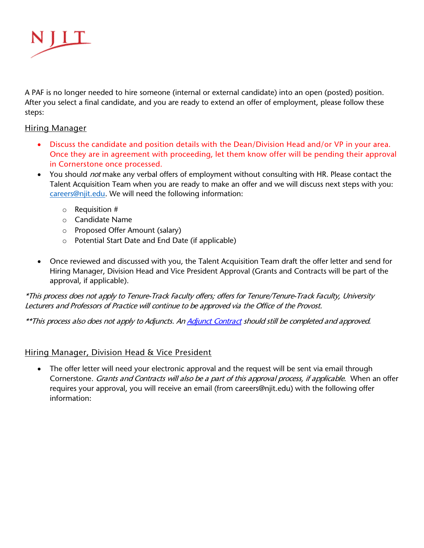

A PAF is no longer needed to hire someone (internal or external candidate) into an open (posted) position. After you select a final candidate, and you are ready to extend an offer of employment, please follow these steps:

## Hiring Manager

- Discuss the candidate and position details with the Dean/Division Head and/or VP in your area. Once they are in agreement with proceeding, let them know offer will be pending their approval in Cornerstone once processed.
- You should *not* make any verbal offers of employment without consulting with HR. Please contact the Talent Acquisition Team when you are ready to make an offer and we will discuss next steps with you: [careers@njit.edu.](mailto:careers@njit.edu) We will need the following information:
	- o Requisition #
	- o Candidate Name
	- o Proposed Offer Amount (salary)
	- o Potential Start Date and End Date (if applicable)
- Once reviewed and discussed with you, the Talent Acquisition Team draft the offer letter and send for Hiring Manager, Division Head and Vice President Approval (Grants and Contracts will be part of the approval, if applicable).

\*This process does not apply to Tenure-Track Faculty offers; offers for Tenure/Tenure-Track Faculty, University Lecturers and Professors of Practice will continue to be approved via the Office of the Provost.

\*\*This process also does not apply to Adjuncts. An **Adjunct Contract** should still be completed and approved.

## Hiring Manager, Division Head & Vice President

• The offer letter will need your electronic approval and the request will be sent via email through Cornerstone. Grants and Contracts will also be a part of this approval process, if applicable. When an offer requires your approval, you will receive an email (from careers@njit.edu) with the following offer information: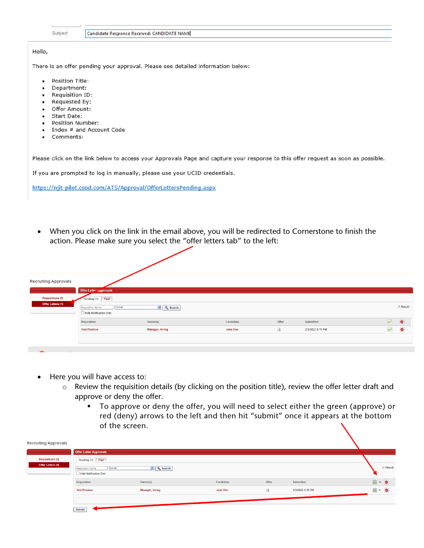|                                                   | Subject                                                                                                                                    | Candidate Response Received: CANDIDATE NAME                                     |
|---------------------------------------------------|--------------------------------------------------------------------------------------------------------------------------------------------|---------------------------------------------------------------------------------|
| Hello,                                            |                                                                                                                                            |                                                                                 |
|                                                   |                                                                                                                                            | There is an offer pending your approval. Please see detailed information below: |
| ٠<br>٠<br>٠<br>٠<br>٠<br>٠<br>$\bullet$<br>٠<br>٠ | Position Title:<br>Department:<br>Requisition ID:<br>Requested by:<br>Offer Amount:<br>Start Date:<br><b>Position Number:</b><br>Comments: | Index # and Account Code                                                        |

Please click on the link below to access your Approvals Page and capture your response to this offer request as soon as possible.

If you are prompted to log in manually, please use your UCID credentials.

https://njit-pilot.csod.com/ATS/Approval/OfferLettersPending.aspx

• When you click on the link in the email above, you will be redirected to Cornerstone to finish the action. Please make sure you select the "offer letters tab" to the left:

| <b>Recruiting Approvals</b>                         | <b>Offer Lette: Approvals</b>                                           |                        |           |              |                  |           |            |
|-----------------------------------------------------|-------------------------------------------------------------------------|------------------------|-----------|--------------|------------------|-----------|------------|
| <b>Requisitions (0)</b><br><b>Offer Letters (1)</b> | Pending (1) Past<br>Owner<br>Requisition Name<br>Hide Notification Only | <b>D</b> Search        |           |              |                  |           | (1 Result) |
|                                                     | <b>Requisition</b>                                                      | Owner(s)               | Candidate | Offer        | Submitted        | $\bullet$ | $\bullet$  |
|                                                     | <b>Test Position</b>                                                    | <b>Manager, Hiring</b> | Jane Doe  | $\mathbf{Q}$ | 2/3/2022 5:15 PM | $\vee$    | $\bullet$  |
|                                                     |                                                                         |                        |           |              |                  |           |            |

- Here you will have access to:
	- o Review the requisition details (by clicking on the position title), review the offer letter draft and approve or deny the offer.
		- To approve or deny the offer, you will need to select either the green (approve) or red (deny) arrows to the left and then hit "submit" once it appears at the bottom of the screen.

| <b>Recruiting Approvals</b> |                                                            |                 |           |              |                  |                      |            |
|-----------------------------|------------------------------------------------------------|-----------------|-----------|--------------|------------------|----------------------|------------|
|                             | <b>Offer Letter Approvals</b>                              |                 |           |              |                  |                      |            |
| <b>Requisitions (0)</b>     | Past<br>Pending $(1)$                                      |                 |           |              |                  |                      |            |
| <b>Offer Letters (1)</b>    | Owner<br><b>Requisition Name</b><br>Hide Notification Only | D Q Search      |           |              |                  |                      | (1 Result) |
|                             | Requisition                                                | Owner(s)        | Candidate | Offer        | Submitted        | $\sqrt{ }$ + $\odot$ |            |
|                             | <b>Test Position</b>                                       | Manager, Hiring | Jane Doe  | $\mathbf{G}$ | 2/3/2022 5:15 PM | $\overline{v}$ - 0   |            |
|                             |                                                            |                 |           |              |                  |                      |            |
|                             | Submit                                                     |                 |           |              |                  |                      |            |